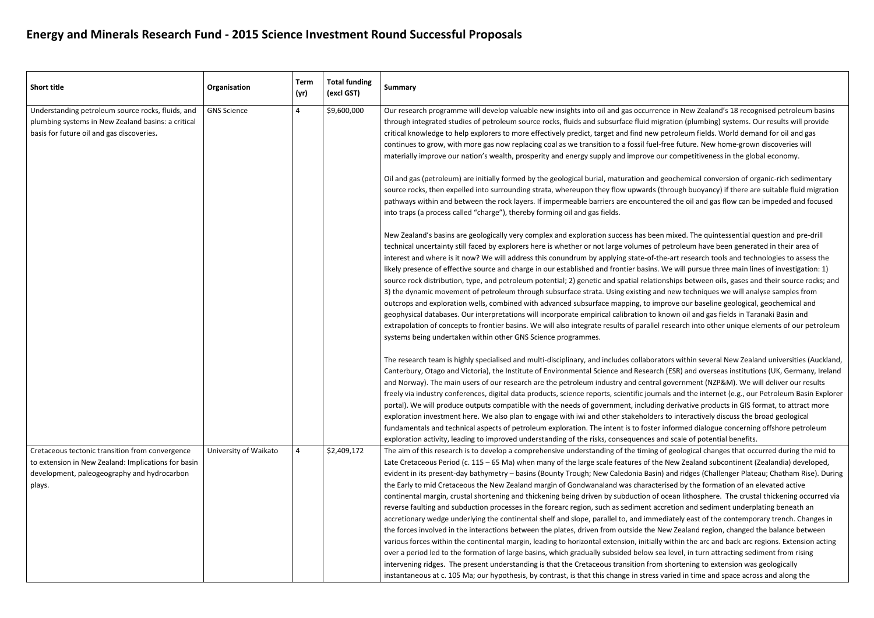## **Energy and Minerals Research Fund - 2015 Science Investment Round Successful Proposals**

| <b>Short title</b>                                                                                                                                              | Organisation          | <b>Term</b><br>(yr) | <b>Total funding</b><br>(excl GST) | <b>Summary</b>                                                                                                                                                                                                                                                                                                                                                                                                                                                                                                                                                                                                                                                                                                                                                                                                                                                                                                                                                                                                                                                                                                                                                                                                                                                                                                                                                                                                                            |
|-----------------------------------------------------------------------------------------------------------------------------------------------------------------|-----------------------|---------------------|------------------------------------|-------------------------------------------------------------------------------------------------------------------------------------------------------------------------------------------------------------------------------------------------------------------------------------------------------------------------------------------------------------------------------------------------------------------------------------------------------------------------------------------------------------------------------------------------------------------------------------------------------------------------------------------------------------------------------------------------------------------------------------------------------------------------------------------------------------------------------------------------------------------------------------------------------------------------------------------------------------------------------------------------------------------------------------------------------------------------------------------------------------------------------------------------------------------------------------------------------------------------------------------------------------------------------------------------------------------------------------------------------------------------------------------------------------------------------------------|
| Understanding petroleum source rocks, fluids, and<br>plumbing systems in New Zealand basins: a critical<br>basis for future oil and gas discoveries.            | <b>GNS Science</b>    | 4                   | \$9,600,000                        | Our research programme will develop valuable new insights into oil and gas occurre<br>through integrated studies of petroleum source rocks, fluids and subsurface fluid mi<br>critical knowledge to help explorers to more effectively predict, target and find new<br>continues to grow, with more gas now replacing coal as we transition to a fossil fuel<br>materially improve our nation's wealth, prosperity and energy supply and improve o<br>Oil and gas (petroleum) are initially formed by the geological burial, maturation and<br>source rocks, then expelled into surrounding strata, whereupon they flow upwards<br>pathways within and between the rock layers. If impermeable barriers are encounte<br>into traps (a process called "charge"), thereby forming oil and gas fields.<br>New Zealand's basins are geologically very complex and exploration success has bee<br>technical uncertainty still faced by explorers here is whether or not large volumes of<br>interest and where is it now? We will address this conundrum by applying state-of-t<br>likely presence of effective source and charge in our established and frontier basins.<br>source rock distribution, type, and petroleum potential; 2) genetic and spatial relation<br>3) the dynamic movement of petroleum through subsurface strata. Using existing ar<br>outcrops and exploration wells, combined with advanced subsurface mapping, to in |
|                                                                                                                                                                 |                       |                     |                                    | geophysical databases. Our interpretations will incorporate empirical calibration to<br>extrapolation of concepts to frontier basins. We will also integrate results of paralle<br>systems being undertaken within other GNS Science programmes.                                                                                                                                                                                                                                                                                                                                                                                                                                                                                                                                                                                                                                                                                                                                                                                                                                                                                                                                                                                                                                                                                                                                                                                          |
|                                                                                                                                                                 |                       |                     |                                    | The research team is highly specialised and multi-disciplinary, and includes collabora<br>Canterbury, Otago and Victoria), the Institute of Environmental Science and Researd<br>and Norway). The main users of our research are the petroleum industry and centra<br>freely via industry conferences, digital data products, science reports, scientific jour<br>portal). We will produce outputs compatible with the needs of government, includir<br>exploration investment here. We also plan to engage with iwi and other stakeholder<br>fundamentals and technical aspects of petroleum exploration. The intent is to foster<br>exploration activity, leading to improved understanding of the risks, consequences a                                                                                                                                                                                                                                                                                                                                                                                                                                                                                                                                                                                                                                                                                                                |
| Cretaceous tectonic transition from convergence<br>to extension in New Zealand: Implications for basin<br>development, paleogeography and hydrocarbon<br>plays. | University of Waikato | 4                   | \$2,409,172                        | The aim of this research is to develop a comprehensive understanding of the timing<br>Late Cretaceous Period (c. $115 - 65$ Ma) when many of the large scale features of th<br>evident in its present-day bathymetry - basins (Bounty Trough; New Caledonia Basii<br>the Early to mid Cretaceous the New Zealand margin of Gondwanaland was charact<br>continental margin, crustal shortening and thickening being driven by subduction of<br>reverse faulting and subduction processes in the forearc region, such as sediment ao<br>accretionary wedge underlying the continental shelf and slope, parallel to, and imm<br>the forces involved in the interactions between the plates, driven from outside the I<br>various forces within the continental margin, leading to horizontal extension, initiall<br>over a period led to the formation of large basins, which gradually subsided below s<br>intervening ridges. The present understanding is that the Cretaceous transition fror<br>instantaneous at c. 105 Ma; our hypothesis, by contrast, is that this change in stress                                                                                                                                                                                                                                                                                                                                                   |

nce in New Zealand's 18 recognised petroleum basins igration (plumbing) systems. Our results will provide petroleum fields. World demand for oil and gas l-free future. New home-grown discoveries will our competitiveness in the global economy.

I geochemical conversion of organic-rich sedimentary (through buoyancy) if there are suitable fluid migration ered the oil and gas flow can be impeded and focused

en mixed. The quintessential question and pre-drill f petroleum have been generated in their area of the-art research tools and technologies to assess the likely of earth presence and charge in our established and frontier basins. We will pursue three main lines of investigation: 1) onships between oils, gases and their source rocks; and nd new techniques we will analyse samples from nprove our baseline geological, geochemical and known oil and gas fields in Taranaki Basin and research into other unique elements of our petroleum

ators within several New Zealand universities (Auckland, ch (ESR) and overseas institutions (UK, Germany, Ireland al government (NZP&M). We will deliver our results mals and the internet (e.g., our Petroleum Basin Explorer ng derivative products in GIS format, to attract more rs to interactively discuss the broad geological r informed dialogue concerning offshore petroleum and scale of potential benefits.

of geological changes that occurred during the mid to the timing of geological changes that occurred during the ne New Zealand subcontinent (Zealandia) developed, n) and ridges (Challenger Plateau; Chatham Rise). During terised by the formation of an elevated active f ocean lithosphere. The crustal thickening occurred via ccretion and sediment underplating beneath an ediately east of the contemporary trench. Changes in New Zealand region, changed the balance between ly within the arc and back arc regions. Extension acting ea level, in turn attracting sediment from rising m shortening to extension was geologically s varied in time and space across and along the